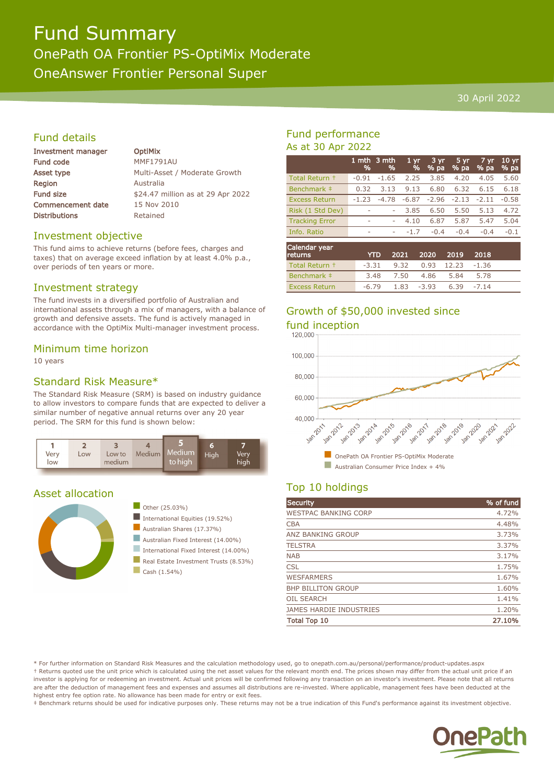# Fund Summary OnePath OA Frontier PS-OptiMix Moderate OneAnswer Frontier Personal Super

#### 30 April 2022

# Fund details

| Investment manager       | <b>OptiMix</b>                    |
|--------------------------|-----------------------------------|
| <b>Fund code</b>         | <b>MMF1791AU</b>                  |
| Asset type               | Multi-Asset / Moderate Growth     |
| <b>Region</b>            | Australia                         |
| <b>Fund size</b>         | \$24.47 million as at 29 Apr 2022 |
| <b>Commencement date</b> | 15 Nov 2010                       |
| <b>Distributions</b>     | Retained                          |
|                          |                                   |

### Investment objective

This fund aims to achieve returns (before fees, charges and taxes) that on average exceed inflation by at least 4.0% p.a., over periods of ten years or more.

### Investment strategy

The fund invests in a diversified portfolio of Australian and international assets through a mix of managers, with a balance of growth and defensive assets. The fund is actively managed in accordance with the OptiMix Multi-manager investment process.

#### Minimum time horizon

10 years

## Standard Risk Measure\*

The Standard Risk Measure (SRM) is based on industry guidance to allow investors to compare funds that are expected to deliver a similar number of negative annual returns over any 20 year period. The SRM for this fund is shown below:



## Asset allocation





- International Equities (19.52%)
- Australian Shares (17.37%)
- Australian Fixed Interest (14.00%)
- International Fixed Interest (14.00%)
- Real Estate Investment Trusts (8.53%)
- $\Box$  Cash (1.54%)

# Fund performance As at 30 Apr 2022

|                       | %       | 1 mth 3 mth<br>% | 1 <sub>yr</sub><br>% | 3 yr<br>% pa | 5 yr<br>% pa | 7 yr<br>% pa | 10 <sub>yr</sub><br>% pa |
|-----------------------|---------|------------------|----------------------|--------------|--------------|--------------|--------------------------|
| Total Return +        | $-0.91$ | $-1.65$          | 2.25                 | 3.85         | 4.20         | 4.05         | 5.60                     |
| Benchmark ‡           | 0.32    | 3.13             | 9.13                 | 6.80         | 6.32         | 6.15         | 6.18                     |
| <b>Excess Return</b>  | $-1.23$ | $-4.78$          | $-6.87$              | $-2.96$      | $-2.13$      | $-2.11$      | $-0.58$                  |
| Risk (1 Std Dev)      |         | ۰                | 3.85                 | 6.50         | 5.50         | 5.13         | 4.72                     |
| <b>Tracking Error</b> | ٠       | ۰                | 4.10                 | 6.87         | 5.87         | 5.47         | 5.04                     |
| Info. Ratio           | ۰       | ۰                | $-1.7$               | $-0.4$       | $-0.4$       | $-0.4$       | $-0.1$                   |
| Calendar year         |         |                  |                      |              |              |              |                          |

| <b>CARTICLES</b> TOUL<br><b>returns</b> |      |                | YTD 2021 2020 2019 2018               |      |  |
|-----------------------------------------|------|----------------|---------------------------------------|------|--|
| Total Return +                          |      |                | $-3.31$ $9.32$ $0.93$ $12.23$ $-1.36$ |      |  |
| Benchmark #                             | 3.48 | 7.50 4.86 5.84 |                                       | 5.78 |  |
| <b>Excess Return</b>                    |      |                | $-6.79$ 1.83 $-3.93$ 6.39 $-7.14$     |      |  |

# Growth of \$50,000 invested since

fund inception<br>120.000



# Top 10 holdings

| Security                       | % of fund |
|--------------------------------|-----------|
| <b>WESTPAC BANKING CORP</b>    | 4.72%     |
| <b>CBA</b>                     | 4.48%     |
| <b>ANZ BANKING GROUP</b>       | 3.73%     |
| <b>TELSTRA</b>                 | 3.37%     |
| <b>NAB</b>                     | 3.17%     |
| <b>CSL</b>                     | 1.75%     |
| <b>WESFARMERS</b>              | 1.67%     |
| <b>BHP BILLITON GROUP</b>      | 1.60%     |
| <b>OIL SEARCH</b>              | 1.41%     |
| <b>JAMES HARDIE INDUSTRIES</b> | 1.20%     |
| <b>Total Top 10</b>            | 27.10%    |

\* For further information on Standard Risk Measures and the calculation methodology used, go to onepath.com.au/personal/performance/product-updates.aspx † Returns quoted use the unit price which is calculated using the net asset values for the relevant month end. The prices shown may differ from the actual unit price if an investor is applying for or redeeming an investment. Actual unit prices will be confirmed following any transaction on an investor's investment. Please note that all returns are after the deduction of management fees and expenses and assumes all distributions are re-invested. Where applicable, management fees have been deducted at the highest entry fee option rate. No allowance has been made for entry or exit fees.

‡ Benchmark returns should be used for indicative purposes only. These returns may not be a true indication of this Fund's performance against its investment objective.